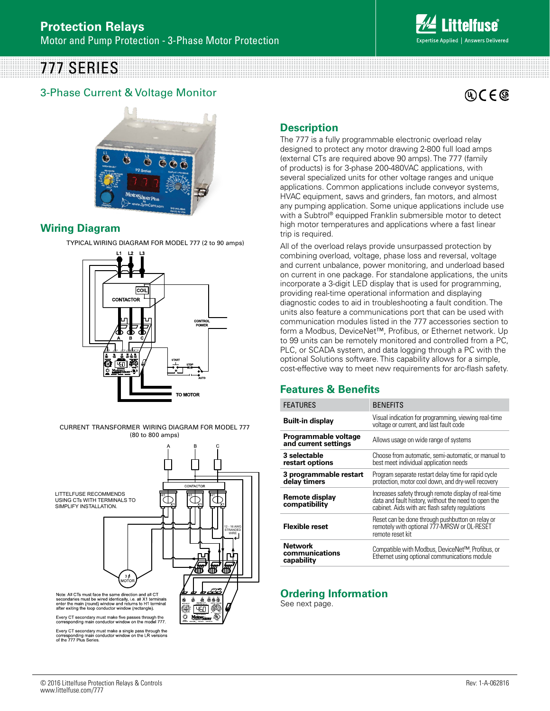

# 777 SERIES

# 3-Phase Current & Voltage Monitor

# $@$  $C$  $@$



# **Wiring Diagram**

**TYPICAL WIRING DIAGRAM FOR MODEL 777 (20 TO 90 amps)** TYPICAL WIRING DIAGRAM FOR MODEL 777 (2 to 90 amps)



CURRENT TRANSFORMER WIRING DIAGRAM FOR MODEL 777 (80 to 800 amps)



Every CT secondary must make a single pass through the<br>corresponding main conductor window on the LR versions<br>of the 777 Plus Series.

# **Description**

The 777 is a fully programmable electronic overload relay designed to protect any motor drawing 2-800 full load amps (external CTs are required above 90 amps). The 777 (family of products) is for 3-phase 200-480VAC applications, with several specialized units for other voltage ranges and unique applications. Common applications include conveyor systems, HVAC equipment, saws and grinders, fan motors, and almost any pumping application. Some unique applications include use with a Subtrol<sup>®</sup> equipped Franklin submersible motor to detect high motor temperatures and applications where a fast linear trip is required.

All of the overload relays provide unsurpassed protection by combining overload, voltage, phase loss and reversal, voltage and current unbalance, power monitoring, and underload based on current in one package. For standalone applications, the units incorporate a 3-digit LED display that is used for programming, providing real-time operational information and displaying diagnostic codes to aid in troubleshooting a fault condition. The units also feature a communications port that can be used with communication modules listed in the 777 accessories section to form a Modbus, DeviceNet™, Profibus, or Ethernet network. Up to 99 units can be remotely monitored and controlled from a PC, PLC, or SCADA system, and data logging through a PC with the optional Solutions software. This capability allows for a simple, cost-effective way to meet new requirements for arc-flash safety.

# **Features & Benefits**

| <b>FEATURES</b>                                | <b>BENEFITS</b>                                                                                                                                                 |
|------------------------------------------------|-----------------------------------------------------------------------------------------------------------------------------------------------------------------|
| <b>Built-in display</b>                        | Visual indication for programming, viewing real-time<br>voltage or current, and last fault code                                                                 |
| Programmable voltage<br>and current settings   | Allows usage on wide range of systems                                                                                                                           |
| 3 selectable<br>restart options                | Choose from automatic, semi-automatic, or manual to<br>best meet individual application needs                                                                   |
| 3 programmable restart<br>delay timers         | Program separate restart delay time for rapid cycle<br>protection, motor cool down, and dry-well recovery                                                       |
| Remote display<br>compatibility                | Increases safety through remote display of real-time<br>data and fault history, without the need to open the<br>cabinet. Aids with arc flash safety regulations |
| <b>Flexible reset</b>                          | Reset can be done through pushbutton on relay or<br>remotely with optional 777-MRSW or OL-RESET<br>remote reset kit                                             |
| <b>Network</b><br>communications<br>capability | Compatible with Modbus, DeviceNet™, Profibus, or<br>Ethernet using optional communications module                                                               |

# **Ordering Information**

See next page.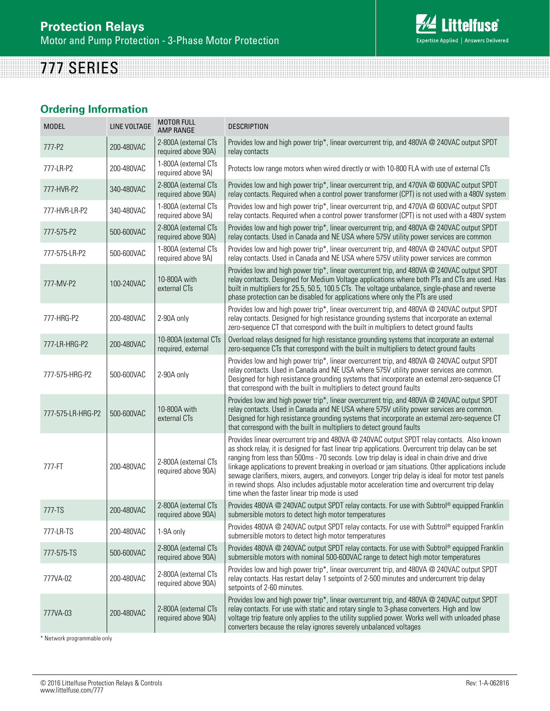

# **Ordering Information**

| <b>MODEL</b>      | LINE VOLTAGE | <b>MOTOR FULL</b><br><b>AMP RANGE</b>        | <b>DESCRIPTION</b>                                                                                                                                                                                                                                                                                                                                                                                                                                                                                                                                                                                                                                            |
|-------------------|--------------|----------------------------------------------|---------------------------------------------------------------------------------------------------------------------------------------------------------------------------------------------------------------------------------------------------------------------------------------------------------------------------------------------------------------------------------------------------------------------------------------------------------------------------------------------------------------------------------------------------------------------------------------------------------------------------------------------------------------|
| 777-P2            | 200-480VAC   | 2-800A (external CTs<br>required above 90A)  | Provides low and high power trip*, linear overcurrent trip, and 480VA @ 240VAC output SPDT<br>relay contacts                                                                                                                                                                                                                                                                                                                                                                                                                                                                                                                                                  |
| 777-LR-P2         | 200-480VAC   | 1-800A (external CTs<br>required above 9A)   | Protects low range motors when wired directly or with 10-800 FLA with use of external CTs                                                                                                                                                                                                                                                                                                                                                                                                                                                                                                                                                                     |
| 777-HVR-P2        | 340-480VAC   | 2-800A (external CTs<br>required above 90A)  | Provides low and high power trip*, linear overcurrent trip, and 470VA @ 600VAC output SPDT<br>relay contacts. Required when a control power transformer (CPT) is not used with a 480V system                                                                                                                                                                                                                                                                                                                                                                                                                                                                  |
| 777-HVR-LR-P2     | 340-480VAC   | 1-800A (external CTs<br>required above 9A)   | Provides low and high power trip*, linear overcurrent trip, and 470VA @ 600VAC output SPDT<br>relay contacts. Required when a control power transformer (CPT) is not used with a 480V system                                                                                                                                                                                                                                                                                                                                                                                                                                                                  |
| 777-575-P2        | 500-600VAC   | 2-800A (external CTs)<br>required above 90A) | Provides low and high power trip*, linear overcurrent trip, and 480VA @ 240VAC output SPDT<br>relay contacts. Used in Canada and NE USA where 575V utility power services are common                                                                                                                                                                                                                                                                                                                                                                                                                                                                          |
| 777-575-LR-P2     | 500-600VAC   | 1-800A (external CTs)<br>required above 9A)  | Provides low and high power trip*, linear overcurrent trip, and 480VA @ 240VAC output SPDT<br>relay contacts. Used in Canada and NE USA where 575V utility power services are common                                                                                                                                                                                                                                                                                                                                                                                                                                                                          |
| 777-MV-P2         | 100-240VAC   | 10-800A with<br>external CTs                 | Provides low and high power trip*, linear overcurrent trip, and 480VA @ 240VAC output SPDT<br>relay contacts. Designed for Medium Voltage applications where both PTs and CTs are used. Has<br>built in multipliers for 25.5, 50.5, 100.5 CTs. The voltage unbalance, single-phase and reverse<br>phase protection can be disabled for applications where only the PTs are used                                                                                                                                                                                                                                                                               |
| 777-HRG-P2        | 200-480VAC   | 2-90A only                                   | Provides low and high power trip*, linear overcurrent trip, and 480VA @ 240VAC output SPDT<br>relay contacts. Designed for high resistance grounding systems that incorporate an external<br>zero-sequence CT that correspond with the built in multipliers to detect ground faults                                                                                                                                                                                                                                                                                                                                                                           |
| 777-LR-HRG-P2     | 200-480VAC   | 10-800A (external CTs<br>required, external  | Overload relays designed for high resistance grounding systems that incorporate an external<br>zero-sequence CTs that correspond with the built in multipliers to detect ground faults                                                                                                                                                                                                                                                                                                                                                                                                                                                                        |
| 777-575-HRG-P2    | 500-600VAC   | 2-90A only                                   | Provides low and high power trip*, linear overcurrent trip, and 480VA @ 240VAC output SPDT<br>relay contacts. Used in Canada and NE USA where 575V utility power services are common.<br>Designed for high resistance grounding systems that incorporate an external zero-sequence CT<br>that correspond with the built in multipliers to detect ground faults                                                                                                                                                                                                                                                                                                |
| 777-575-LR-HRG-P2 | 500-600VAC   | 10-800A with<br>external CTs                 | Provides low and high power trip*, linear overcurrent trip, and 480VA @ 240VAC output SPDT<br>relay contacts. Used in Canada and NE USA where 575V utility power services are common.<br>Designed for high resistance grounding systems that incorporate an external zero-sequence CT<br>that correspond with the built in multipliers to detect ground faults                                                                                                                                                                                                                                                                                                |
| 777-FT            | 200-480VAC   | 2-800A (external CTs<br>required above 90A)  | Provides linear overcurrent trip and 480VA @ 240VAC output SPDT relay contacts. Also known<br>as shock relay, it is designed for fast linear trip applications. Overcurrent trip delay can be set<br>ranging from less than 500ms - 70 seconds. Low trip delay is ideal in chain drive and drive<br>linkage applications to prevent breaking in overload or jam situations. Other applications include<br>sewage clarifiers, mixers, augers, and conveyors. Longer trip delay is ideal for motor test panels<br>in rewind shops. Also includes adjustable motor acceleration time and overcurrent trip delay<br>time when the faster linear trip mode is used |
| 777-TS            | 200-480VAC   | 2-800A (external CTs<br>required above 90A)  | Provides 480VA @ 240VAC output SPDT relay contacts. For use with Subtrol® equipped Franklin<br>submersible motors to detect high motor temperatures                                                                                                                                                                                                                                                                                                                                                                                                                                                                                                           |
| 777-LR-TS         | 200-480VAC   | 1-9A only                                    | Provides 480VA @ 240VAC output SPDT relay contacts. For use with Subtrol® equipped Franklin<br>submersible motors to detect high motor temperatures                                                                                                                                                                                                                                                                                                                                                                                                                                                                                                           |
| 777-575-TS        | 500-600VAC   | 2-800A (external CTs<br>required above 90A)  | Provides 480VA @ 240VAC output SPDT relay contacts. For use with Subtrol® equipped Franklin<br>submersible motors with nominal 500-600VAC range to detect high motor temperatures                                                                                                                                                                                                                                                                                                                                                                                                                                                                             |
| 777VA-02          | 200-480VAC   | 2-800A (external CTs<br>required above 90A)  | Provides low and high power trip*, linear overcurrent trip, and 480VA @ 240VAC output SPDT<br>relay contacts. Has restart delay 1 setpoints of 2-500 minutes and undercurrent trip delay<br>setpoints of 2-60 minutes.                                                                                                                                                                                                                                                                                                                                                                                                                                        |
| 777VA-03          | 200-480VAC   | 2-800A (external CTs<br>required above 90A)  | Provides low and high power trip*, linear overcurrent trip, and 480VA @ 240VAC output SPDT<br>relay contacts. For use with static and rotary single to 3-phase converters. High and low<br>voltage trip feature only applies to the utility supplied power. Works well with unloaded phase<br>converters because the relay ignores severely unbalanced voltages                                                                                                                                                                                                                                                                                               |

\* Network programmable only